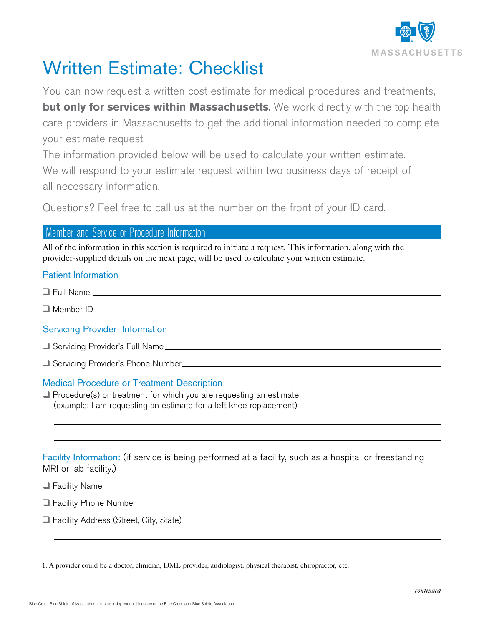

# Written Estimate: Checklist

You can now request a written cost estimate for medical procedures and treatments, **but only for services within Massachusetts**. We work directly with the top health care providers in Massachusetts to get the additional information needed to complete your estimate request.

The information provided below will be used to calculate your written estimate. We will respond to your estimate request within two business days of receipt of all necessary information.

Questions? Feel free to call us at the number on the front of your ID card.

## Member and Service or Procedure Information

All of the information in this section is required to initiate a request. This information, along with the provider-supplied details on the next page, will be used to calculate your written estimate.

### Patient Information

 $\Box$  Full Name

 $\Box$  Member ID

### Servicing Provider<sup>1</sup> Information

q Servicing Provider's Full Name

q Servicing Provider's Phone Number

### Medical Procedure or Treatment Description

 $\Box$  Procedure(s) or treatment for which you are requesting an estimate: (example: I am requesting an estimate for a left knee replacement)

Facility Information: (if service is being performed at a facility, such as a hospital or freestanding MRI or lab facility.)

**Q** Facility Name **contain the contract of Facility Name** 

**Q** Facility Phone Number **Contract Contract Contract Contract Contract Contract Contract Contract Contract Contract Contract Contract Contract Contract Contract Contract Contract Contract Contract Contract Contract Contra** 

q Facility Address (Street, City, State)

1. A provider could be a doctor, clinician, DME provider, audiologist, physical therapist, chiropractor, etc.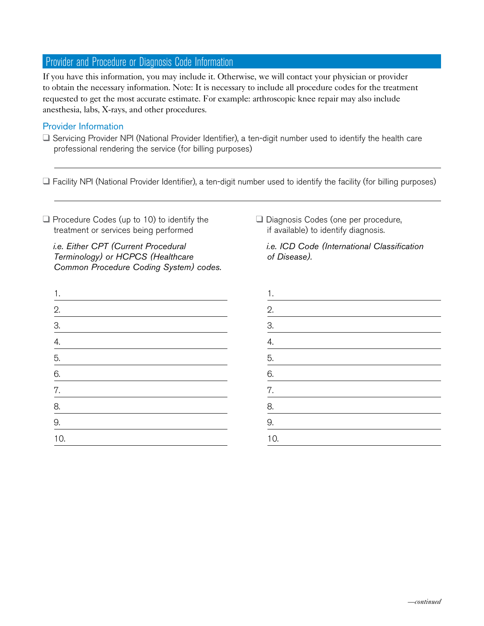# Provider and Procedure or Diagnosis Code Information

If you have this information, you may include it. Otherwise, we will contact your physician or provider to obtain the necessary information. Note: It is necessary to include all procedure codes for the treatment requested to get the most accurate estimate. For example: arthroscopic knee repair may also include anesthesia, labs, X-rays, and other procedures.

#### Provider Information

 $\Box$  Servicing Provider NPI (National Provider Identifier), a ten-digit number used to identify the health care professional rendering the service (for billing purposes)

 $\Box$  Facility NPI (National Provider Identifier), a ten-digit number used to identify the facility (for billing purposes)

 $\Box$  Procedure Codes (up to 10) to identify the treatment or services being performed

 *i.e. Either CPT (Current Procedural Terminology) or HCPCS (Healthcare Common Procedure Coding System) codes.*

| 1.                      |  |  |  |
|-------------------------|--|--|--|
|                         |  |  |  |
|                         |  |  |  |
| $2.1 - 3.1 - 4.5 - 5.1$ |  |  |  |
|                         |  |  |  |
| $\underline{6}$ .       |  |  |  |
| 7.                      |  |  |  |
| $\frac{8}{1}$           |  |  |  |
| $\overline{9}$ .        |  |  |  |
| 10.                     |  |  |  |
|                         |  |  |  |

Diagnosis Codes (one per procedure, if available) to identify diagnosis.

 *i.e. ICD Code (International Classification of Disease).* 

1. 2. 3. 4. 5. 6. 7. 8. 9. 10.